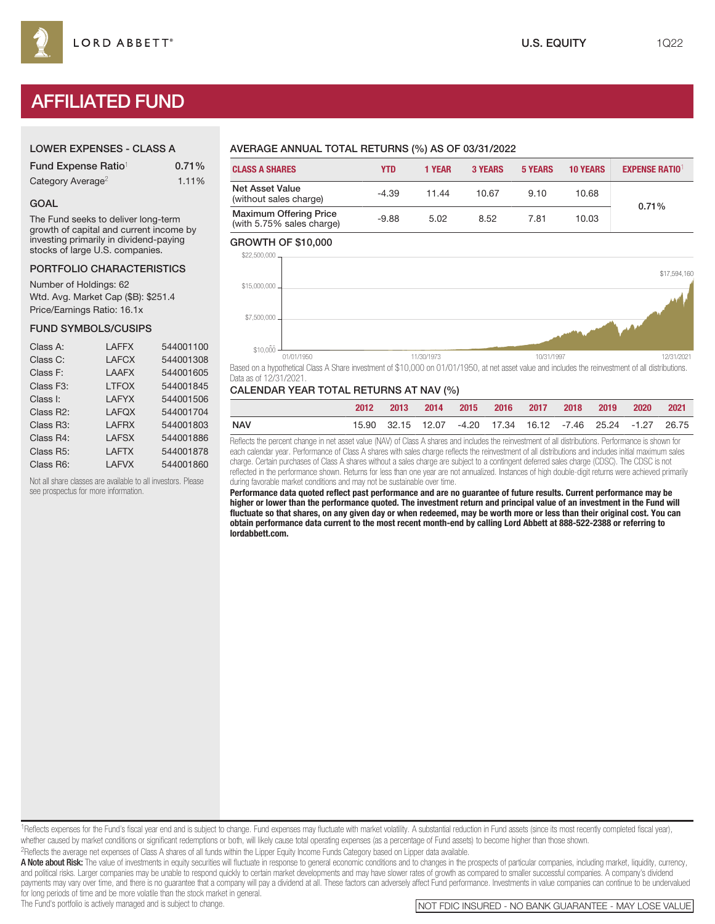# AFFILIATED FUND

## LOWER EXPENSES - CLASS A

| Fund Expense Ratio <sup>1</sup> | 0.71% |
|---------------------------------|-------|
| Category Average <sup>2</sup>   | 1.11% |

#### GOAL

The Fund seeks to deliver long-term growth of capital and current income by investing primarily in dividend-paying stocks of large U.S. companies.

# PORTFOLIO CHARACTERISTICS

Number of Holdings: 62 Wtd. Avg. Market Cap (\$B): \$251.4 Price/Earnings Ratio: 16.1x

## FUND SYMBOLS/CUSIPS

| Class A:               | <b>LAFFX</b> | 544001100 |
|------------------------|--------------|-----------|
| Class C:               | <b>LAFCX</b> | 544001308 |
| Class F:               | <b>LAAFX</b> | 544001605 |
| Class F <sub>3</sub> : | <b>LTFOX</b> | 544001845 |
| Class I:               | <b>LAFYX</b> | 544001506 |
| Class R2:              | <b>LAFQX</b> | 544001704 |
| Class R <sub>3</sub> : | <b>LAFRX</b> | 544001803 |
| Class R4:              | <b>LAFSX</b> | 544001886 |
| Class R <sub>5</sub> : | <b>LAFTX</b> | 544001878 |
| Class R6:              | <b>LAFVX</b> | 544001860 |

Not all share classes are available to all investors. Please see prospectus for more information.

## AVERAGE ANNUAL TOTAL RETURNS (%) AS OF 03/31/2022

| <b>CLASS A SHARES</b>                                      | YTD     | <b>1 YEAR</b> | <b>3 YEARS</b> | <b>5 YEARS</b> | <b>10 YEARS</b> | <b>EXPENSE RATIO</b> |  |
|------------------------------------------------------------|---------|---------------|----------------|----------------|-----------------|----------------------|--|
| <b>Net Asset Value</b><br>(without sales charge)           | $-4.39$ | 11.44         | 10.67          | 9.10           | 10.68           | 0.71%                |  |
| <b>Maximum Offering Price</b><br>(with 5.75% sales charge) | $-9.88$ | 5.02          | 8.52           | 7.81           | 10.03           |                      |  |

#### GROWTH OF \$10,000



Based on a hypothetical Class A Share investment of \$10,000 on 01/01/1950, at net asset value and includes the reinvestment of all distributions. Data as of 12/31/2021.

## CALENDAR YEAR TOTAL RETURNS AT NAV (%)

|            | 2012 |  |  |  | 2013 2014 2015 2016 2017 2018 2019 2020 2021                |  |
|------------|------|--|--|--|-------------------------------------------------------------|--|
| <b>NAV</b> |      |  |  |  | 15.90 32.15 12.07 -4.20 17.34 16.12 -7.46 25.24 -1.27 26.75 |  |

Reflects the percent change in net asset value (NAV) of Class A shares and includes the reinvestment of all distributions. Performance is shown for each calendar year. Performance of Class A shares with sales charge reflects the reinvestment of all distributions and includes initial maximum sales charge. Certain purchases of Class A shares without a sales charge are subject to a contingent deferred sales charge (CDSC). The CDSC is not reflected in the performance shown. Returns for less than one year are not annualized. Instances of high double-digit returns were achieved primarily during favorable market conditions and may not be sustainable over time.

**Performance data quoted reflect past performance and are no guarantee of future results. Current performance may be higher or lower than the performance quoted. The investment return and principal value of an investment in the Fund will fluctuate so that shares, on any given day or when redeemed, may be worth more or less than their original cost. You can obtain performance data current to the most recent month-end by calling Lord Abbett at 888-522-2388 or referring to lordabbett.com.**

<sup>1</sup>Reflects expenses for the Fund's fiscal year end and is subject to change. Fund expenses may fluctuate with market volatility. A substantial reduction in Fund assets (since its most recently completed fiscal year), whether caused by market conditions or significant redemptions or both, will likely cause total operating expenses (as a percentage of Fund assets) to become higher than those shown. 2Reflects the average net expenses of Class A shares of all funds within the Lipper Equity Income Funds Category based on Lipper data available.

A Note about Risk: The value of investments in equity securities will fluctuate in response to general economic conditions and to changes in the prospects of particular companies, including market, liquidity, currency, and political risks. Larger companies may be unable to respond quickly to certain market developments and may have slower rates of growth as compared to smaller successful companies. A company's dividend payments may vary over time, and there is no guarantee that a company will pay a dividend at all. These factors can adversely affect Fund performance. Investments in value companies can continue to be undervalued for long periods of time and be more volatile than the stock market in general.